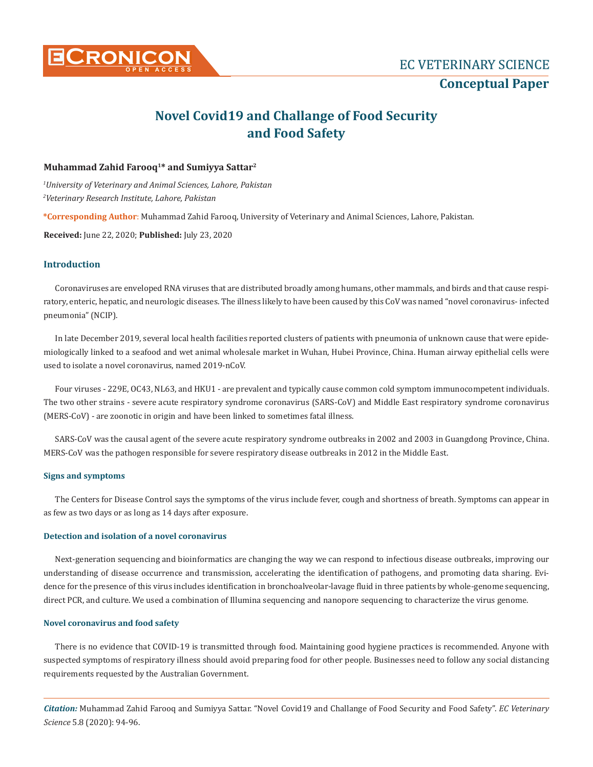

# **Novel Covid19 and Challange of Food Security and Food Safety**

### **Muhammad Zahid Farooq1\* and Sumiyya Sattar2**

*1 University of Veterinary and Animal Sciences, Lahore, Pakistan 2 Veterinary Research Institute, Lahore, Pakistan*

**\*Corresponding Author**: Muhammad Zahid Farooq, University of Veterinary and Animal Sciences, Lahore, Pakistan.

**Received:** June 22, 2020; **Published:** July 23, 2020

#### **Introduction**

Coronaviruses are enveloped RNA viruses that are distributed broadly among humans, other mammals, and birds and that cause respiratory, enteric, hepatic, and neurologic diseases. The illness likely to have been caused by this CoV was named "novel coronavirus- infected pneumonia" (NCIP).

In late December 2019, several local health facilities reported clusters of patients with pneumonia of unknown cause that were epidemiologically linked to a seafood and wet animal wholesale market in Wuhan, Hubei Province, China. Human airway epithelial cells were used to isolate a novel coronavirus, named 2019-nCoV.

Four viruses - 229E, OC43, NL63, and HKU1 - are prevalent and typically cause common cold symptom immunocompetent individuals. The two other strains - severe acute respiratory syndrome coronavirus (SARS-CoV) and Middle East respiratory syndrome coronavirus (MERS-CoV) - are zoonotic in origin and have been linked to sometimes fatal illness.

SARS-CoV was the causal agent of the severe acute respiratory syndrome outbreaks in 2002 and 2003 in Guangdong Province, China. MERS-CoV was the pathogen responsible for severe respiratory disease outbreaks in 2012 in the Middle East.

#### **Signs and symptoms**

The Centers for Disease Control says the symptoms of the virus include fever, cough and shortness of breath. Symptoms can appear in as few as two days or as long as 14 days after exposure.

#### **Detection and isolation of a novel coronavirus**

Next-generation sequencing and bioinformatics are changing the way we can respond to infectious disease outbreaks, improving our understanding of disease occurrence and transmission, accelerating the identification of pathogens, and promoting data sharing. Evidence for the presence of this virus includes identification in bronchoalveolar-lavage fluid in three patients by whole-genome sequencing, direct PCR, and culture. We used a combination of Illumina sequencing and nanopore sequencing to characterize the virus genome.

#### **Novel coronavirus and food safety**

There is no evidence that COVID-19 is transmitted through food. Maintaining good hygiene practices is recommended. Anyone with suspected symptoms of respiratory illness should avoid preparing food for other people. Businesses need to follow any social distancing requirements requested by the Australian Government.

*Citation:* Muhammad Zahid Farooq and Sumiyya Sattar. "Novel Covid19 and Challange of Food Security and Food Safety". *EC Veterinary Science* 5.8 (2020): 94-96.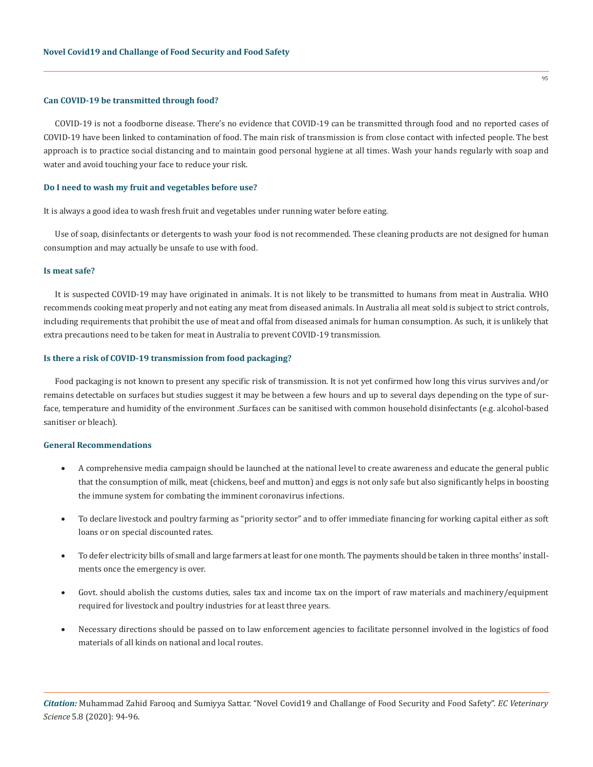#### **Can COVID-19 be transmitted through food?**

COVID-19 is not a foodborne disease. There's no evidence that COVID-19 can be transmitted through food and no reported cases of COVID-19 have been linked to contamination of food. The main risk of transmission is from close contact with infected people. The best approach is to practice social distancing and to maintain good personal hygiene at all times. Wash your hands regularly with soap and water and avoid touching your face to reduce your risk.

#### **Do I need to wash my fruit and vegetables before use?**

It is always a good idea to wash fresh fruit and vegetables under running water before eating.

Use of soap, disinfectants or detergents to wash your food is not recommended. These cleaning products are not designed for human consumption and may actually be unsafe to use with food.

#### **Is meat safe?**

It is suspected COVID-19 may have originated in animals. It is not likely to be transmitted to humans from meat in Australia. WHO recommends cooking meat properly and not eating any meat from diseased animals. In Australia all meat sold is subject to strict controls, including requirements that prohibit the use of meat and offal from diseased animals for human consumption. As such, it is unlikely that extra precautions need to be taken for meat in Australia to prevent COVID-19 transmission.

#### **Is there a risk of COVID-19 transmission from food packaging?**

Food packaging is not known to present any specific risk of transmission. It is not yet confirmed how long this virus survives and/or remains detectable on surfaces but studies suggest it may be between a few hours and up to several days depending on the type of surface, temperature and humidity of the environment .Surfaces can be sanitised with common household disinfectants (e.g. alcohol-based sanitiser or bleach).

#### **General Recommendations**

- A comprehensive media campaign should be launched at the national level to create awareness and educate the general public that the consumption of milk, meat (chickens, beef and mutton) and eggs is not only safe but also significantly helps in boosting the immune system for combating the imminent coronavirus infections.
- To declare livestock and poultry farming as "priority sector" and to offer immediate financing for working capital either as soft loans or on special discounted rates.
- To defer electricity bills of small and large farmers at least for one month. The payments should be taken in three months' installments once the emergency is over.
- Govt. should abolish the customs duties, sales tax and income tax on the import of raw materials and machinery/equipment required for livestock and poultry industries for at least three years.
- Necessary directions should be passed on to law enforcement agencies to facilitate personnel involved in the logistics of food materials of all kinds on national and local routes.

*Citation:* Muhammad Zahid Farooq and Sumiyya Sattar. "Novel Covid19 and Challange of Food Security and Food Safety". *EC Veterinary Science* 5.8 (2020): 94-96.